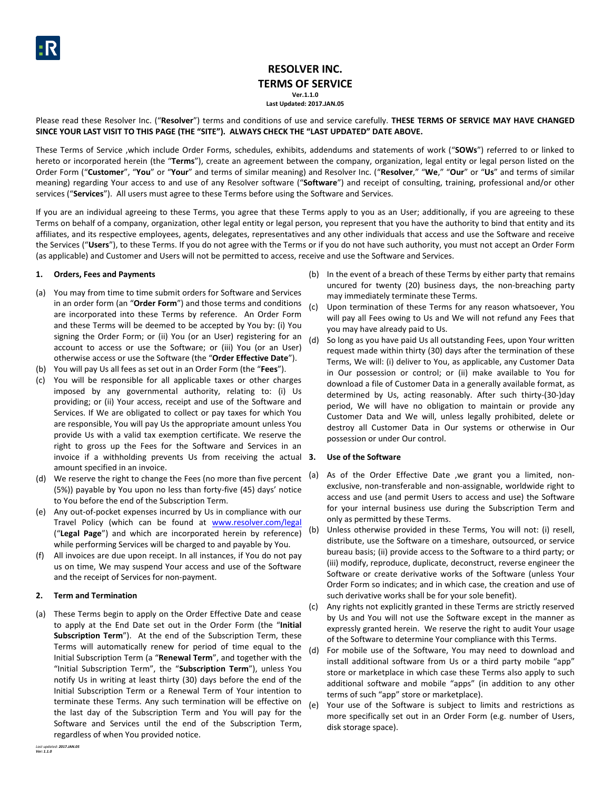# **RESOLVER INC. TERMS OF SERVICE**

**Ver.1.1.0 Last Updated: 2017.JAN.05**

Please read these Resolver Inc. ("**Resolver**") terms and conditions of use and service carefully. **THESE TERMS OF SERVICE MAY HAVE CHANGED SINCE YOUR LAST VISIT TO THIS PAGE (THE "SITE"). ALWAYS CHECK THE "LAST UPDATED" DATE ABOVE.**

These Terms of Service ,which include Order Forms, schedules, exhibits, addendums and statements of work ("**SOWs**") referred to or linked to hereto or incorporated herein (the "**Terms**"), create an agreement between the company, organization, legal entity or legal person listed on the Order Form ("**Customer**", "**You**" or "**Your**" and terms of similar meaning) and Resolver Inc. ("**Resolver**," "**We**," "**Our**" or "**Us**" and terms of similar meaning) regarding Your access to and use of any Resolver software ("**Software**") and receipt of consulting, training, professional and/or other services ("**Services**"). All users must agree to these Terms before using the Software and Services.

If you are an individual agreeing to these Terms, you agree that these Terms apply to you as an User; additionally, if you are agreeing to these Terms on behalf of a company, organization, other legal entity or legal person, you represent that you have the authority to bind that entity and its affiliates, and its respective employees, agents, delegates, representatives and any other individuals that access and use the Software and receive the Services ("**Users**"), to these Terms. If you do not agree with the Terms or if you do not have such authority, you must not accept an Order Form (as applicable) and Customer and Users will not be permitted to access, receive and use the Software and Services.

# **1. Orders, Fees and Payments**

- (a) You may from time to time submit orders for Software and Services in an order form (an "**Order Form**") and those terms and conditions are incorporated into these Terms by reference. An Order Form and these Terms will be deemed to be accepted by You by: (i) You signing the Order Form; or (ii) You (or an User) registering for an account to access or use the Software; or (iii) You (or an User) otherwise access or use the Software (the "**Order Effective Date**").
- (b) You will pay Us all fees as set out in an Order Form (the "**Fees**").
- (c) You will be responsible for all applicable taxes or other charges imposed by any governmental authority, relating to: (i) Us providing; or (ii) Your access, receipt and use of the Software and Services. If We are obligated to collect or pay taxes for which You are responsible, You will pay Us the appropriate amount unless You provide Us with a valid tax exemption certificate. We reserve the right to gross up the Fees for the Software and Services in an invoice if a withholding prevents Us from receiving the actual 3. amount specified in an invoice.
- (d) We reserve the right to change the Fees (no more than five percent (5%)) payable by You upon no less than forty-five (45) days' notice to You before the end of the Subscription Term.
- (e) Any out-of-pocket expenses incurred by Us in compliance with our Travel Policy (which can be found at [www.resolver.com/legal](http://www.resolver.com/legal) ("**Legal Page**") and which are incorporated herein by reference) while performing Services will be charged to and payable by You.
- (f) All invoices are due upon receipt. In all instances, if You do not pay us on time, We may suspend Your access and use of the Software and the receipt of Services for non-payment.

## **2. Term and Termination**

(a) These Terms begin to apply on the Order Effective Date and cease to apply at the End Date set out in the Order Form (the "**Initial Subscription Term**"). At the end of the Subscription Term, these Terms will automatically renew for period of time equal to the Initial Subscription Term (a "**Renewal Term**", and together with the "Initial Subscription Term", the "**Subscription Term**"), unless You notify Us in writing at least thirty (30) days before the end of the Initial Subscription Term or a Renewal Term of Your intention to terminate these Terms. Any such termination will be effective on the last day of the Subscription Term and You will pay for the Software and Services until the end of the Subscription Term, regardless of when You provided notice.

- (b) In the event of a breach of these Terms by either party that remains uncured for twenty (20) business days, the non-breaching party may immediately terminate these Terms.
- (c) Upon termination of these Terms for any reason whatsoever, You will pay all Fees owing to Us and We will not refund any Fees that you may have already paid to Us.
- (d) So long as you have paid Us all outstanding Fees, upon Your written request made within thirty (30) days after the termination of these Terms, We will: (i) deliver to You, as applicable, any Customer Data in Our possession or control; or (ii) make available to You for download a file of Customer Data in a generally available format, as determined by Us, acting reasonably. After such thirty-(30-)day period, We will have no obligation to maintain or provide any Customer Data and We will, unless legally prohibited, delete or destroy all Customer Data in Our systems or otherwise in Our possession or under Our control.

## **3. Use of the Software**

- (a) As of the Order Effective Date ,we grant you a limited, nonexclusive, non-transferable and non-assignable, worldwide right to access and use (and permit Users to access and use) the Software for your internal business use during the Subscription Term and only as permitted by these Terms.
- (b) Unless otherwise provided in these Terms, You will not: (i) resell, distribute, use the Software on a timeshare, outsourced, or service bureau basis; (ii) provide access to the Software to a third party; or (iii) modify, reproduce, duplicate, deconstruct, reverse engineer the Software or create derivative works of the Software (unless Your Order Form so indicates; and in which case, the creation and use of such derivative works shall be for your sole benefit).
- (c) Any rights not explicitly granted in these Terms are strictly reserved by Us and You will not use the Software except in the manner as expressly granted herein. We reserve the right to audit Your usage of the Software to determine Your compliance with this Terms.
- (d) For mobile use of the Software, You may need to download and install additional software from Us or a third party mobile "app" store or marketplace in which case these Terms also apply to such additional software and mobile "apps" (in addition to any other terms of such "app" store or marketplace).
- (e) Your use of the Software is subject to limits and restrictions as more specifically set out in an Order Form (e.g. number of Users, disk storage space).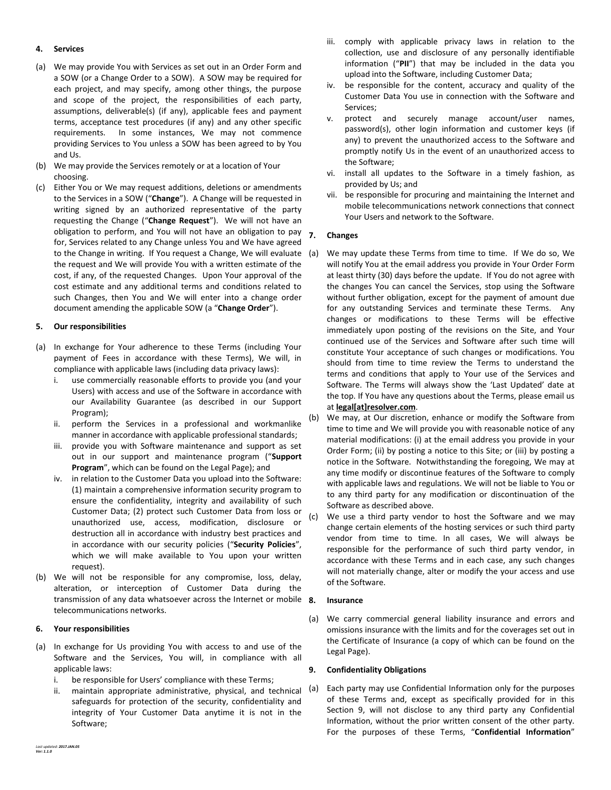## **4. Services**

- (a) We may provide You with Services as set out in an Order Form and a SOW (or a Change Order to a SOW). A SOW may be required for each project, and may specify, among other things, the purpose and scope of the project, the responsibilities of each party, assumptions, deliverable(s) (if any), applicable fees and payment terms, acceptance test procedures (if any) and any other specific requirements. In some instances, We may not commence providing Services to You unless a SOW has been agreed to by You and Us.
- (b) We may provide the Services remotely or at a location of Your choosing.
- (c) Either You or We may request additions, deletions or amendments to the Services in a SOW ("**Change**"). A Change will be requested in writing signed by an authorized representative of the party requesting the Change ("**Change Request**"). We will not have an obligation to perform, and You will not have an obligation to pay for, Services related to any Change unless You and We have agreed to the Change in writing. If You request a Change, We will evaluate the request and We will provide You with a written estimate of the cost, if any, of the requested Changes. Upon Your approval of the cost estimate and any additional terms and conditions related to such Changes, then You and We will enter into a change order document amending the applicable SOW (a "**Change Order**").

# **5. Our responsibilities**

- (a) In exchange for Your adherence to these Terms (including Your payment of Fees in accordance with these Terms), We will, in compliance with applicable laws (including data privacy laws):
	- i. use commercially reasonable efforts to provide you (and your Users) with access and use of the Software in accordance with our Availability Guarantee (as described in our Support Program);
	- ii. perform the Services in a professional and workmanlike manner in accordance with applicable professional standards;
	- iii. provide you with Software maintenance and support as set out in our support and maintenance program ("**Support Program**", which can be found on the Legal Page); and
	- iv. in relation to the Customer Data you upload into the Software: (1) maintain a comprehensive information security program to ensure the confidentiality, integrity and availability of such Customer Data; (2) protect such Customer Data from loss or unauthorized use, access, modification, disclosure or destruction all in accordance with industry best practices and in accordance with our security policies ("**Security Policies**", which we will make available to You upon your written request).
- (b) We will not be responsible for any compromise, loss, delay, alteration, or interception of Customer Data during the transmission of any data whatsoever across the Internet or mobile 8. telecommunications networks.

## **6. Your responsibilities**

- (a) In exchange for Us providing You with access to and use of the Software and the Services, You will, in compliance with all applicable laws:
	- i. be responsible for Users' compliance with these Terms;
	- ii. maintain appropriate administrative, physical, and technical (a) safeguards for protection of the security, confidentiality and integrity of Your Customer Data anytime it is not in the Software;
- iii. comply with applicable privacy laws in relation to the collection, use and disclosure of any personally identifiable information ("**PII**") that may be included in the data you upload into the Software, including Customer Data;
- iv. be responsible for the content, accuracy and quality of the Customer Data You use in connection with the Software and Services;
- v. protect and securely manage account/user names, password(s), other login information and customer keys (if any) to prevent the unauthorized access to the Software and promptly notify Us in the event of an unauthorized access to the Software;
- vi. install all updates to the Software in a timely fashion, as provided by Us; and
- vii. be responsible for procuring and maintaining the Internet and mobile telecommunications network connections that connect Your Users and network to the Software.

# **7. Changes**

- We may update these Terms from time to time. If We do so, We will notify You at the email address you provide in Your Order Form at least thirty (30) days before the update. If You do not agree with the changes You can cancel the Services, stop using the Software without further obligation, except for the payment of amount due for any outstanding Services and terminate these Terms. Any changes or modifications to these Terms will be effective immediately upon posting of the revisions on the Site, and Your continued use of the Services and Software after such time will constitute Your acceptance of such changes or modifications. You should from time to time review the Terms to understand the terms and conditions that apply to Your use of the Services and Software. The Terms will always show the 'Last Updated' date at the top. If You have any questions about the Terms, please email us at **legal[at]resolver.com**.
- (b) We may, at Our discretion, enhance or modify the Software from time to time and We will provide you with reasonable notice of any material modifications: (i) at the email address you provide in your Order Form; (ii) by posting a notice to this Site; or (iii) by posting a notice in the Software. Notwithstanding the foregoing, We may at any time modify or discontinue features of the Software to comply with applicable laws and regulations. We will not be liable to You or to any third party for any modification or discontinuation of the Software as described above.
- (c) We use a third party vendor to host the Software and we may change certain elements of the hosting services or such third party vendor from time to time. In all cases, We will always be responsible for the performance of such third party vendor, in accordance with these Terms and in each case, any such changes will not materially change, alter or modify the your access and use of the Software.

## **8. Insurance**

(a) We carry commercial general liability insurance and errors and omissions insurance with the limits and for the coverages set out in the Certificate of Insurance (a copy of which can be found on the Legal Page).

# <span id="page-1-0"></span>**9. Confidentiality Obligations**

Each party may use Confidential Information only for the purposes of these Terms and, except as specifically provided for in this Section [9,](#page-1-0) will not disclose to any third party any Confidential Information, without the prior written consent of the other party. For the purposes of these Terms, "**Confidential Information**"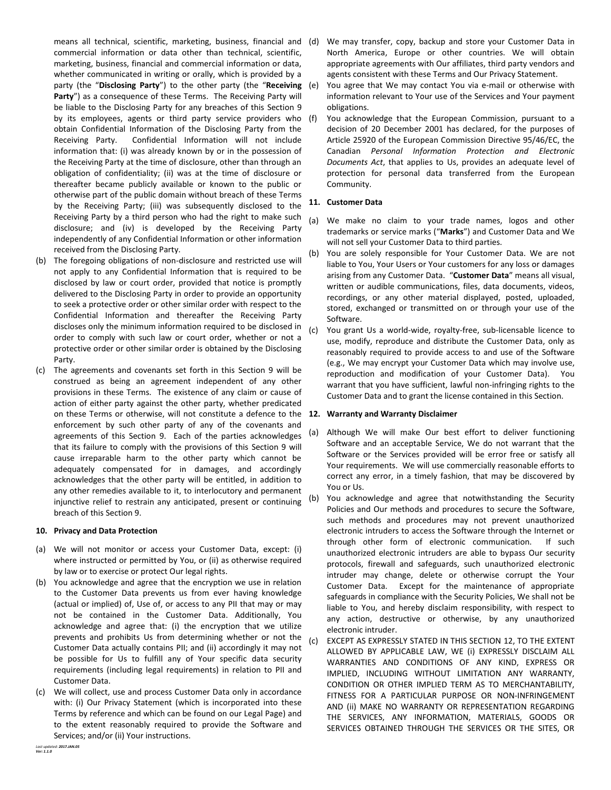means all technical, scientific, marketing, business, financial and (d) commercial information or data other than technical, scientific, marketing, business, financial and commercial information or data, whether communicated in writing or orally, which is provided by a party (the "**Disclosing Party**") to the other party (the "**Receiving**  Party") as a consequence of these Terms. The Receiving Party will be liable to the Disclosing Party for any breaches of this Section [9](#page-1-0) by its employees, agents or third party service providers who (f) obtain Confidential Information of the Disclosing Party from the Receiving Party. Confidential Information will not include information that: (i) was already known by or in the possession of the Receiving Party at the time of disclosure, other than through an obligation of confidentiality; (ii) was at the time of disclosure or thereafter became publicly available or known to the public or otherwise part of the public domain without breach of these Terms by the Receiving Party; (iii) was subsequently disclosed to the Receiving Party by a third person who had the right to make such disclosure; and (iv) is developed by the Receiving Party independently of any Confidential Information or other information received from the Disclosing Party.

- (b) The foregoing obligations of non-disclosure and restricted use will not apply to any Confidential Information that is required to be disclosed by law or court order, provided that notice is promptly delivered to the Disclosing Party in order to provide an opportunity to seek a protective order or other similar order with respect to the Confidential Information and thereafter the Receiving Party discloses only the minimum information required to be disclosed in order to comply with such law or court order, whether or not a protective order or other similar order is obtained by the Disclosing Party.
- (c) The agreements and covenants set forth in this Section [9](#page-1-0) will be construed as being an agreement independent of any other provisions in these Terms. The existence of any claim or cause of action of either party against the other party, whether predicated on these Terms or otherwise, will not constitute a defence to the **12. Warranty and Warranty Disclaimer** enforcement by such other party of any of the covenants and agreements of this Section [9.](#page-1-0) Each of the parties acknowledges that its failure to comply with the provisions of this Section [9](#page-1-0) will cause irreparable harm to the other party which cannot be adequately compensated for in damages, and accordingly acknowledges that the other party will be entitled, in addition to any other remedies available to it, to interlocutory and permanent injunctive relief to restrain any anticipated, present or continuing breach of this Sectio[n 9.](#page-1-0)

## **10. Privacy and Data Protection**

- (a) We will not monitor or access your Customer Data, except: (i) where instructed or permitted by You, or (ii) as otherwise required by law or to exercise or protect Our legal rights.
- (b) You acknowledge and agree that the encryption we use in relation to the Customer Data prevents us from ever having knowledge (actual or implied) of, Use of, or access to any PII that may or may not be contained in the Customer Data. Additionally, You acknowledge and agree that: (i) the encryption that we utilize prevents and prohibits Us from determining whether or not the Customer Data actually contains PII; and (ii) accordingly it may not be possible for Us to fulfill any of Your specific data security requirements (including legal requirements) in relation to PII and Customer Data.
- (c) We will collect, use and process Customer Data only in accordance with: (i) Our Privacy Statement (which is incorporated into these Terms by reference and which can be found on our Legal Page) and to the extent reasonably required to provide the Software and Services; and/or (ii) Your instructions.
- We may transfer, copy, backup and store your Customer Data in North America, Europe or other countries. We will obtain appropriate agreements with Our affiliates, third party vendors and agents consistent with these Terms and Our Privacy Statement.
- You agree that We may contact You via e-mail or otherwise with information relevant to Your use of the Services and Your payment obligations.
- You acknowledge that the European Commission, pursuant to a decision of 20 December 2001 has declared, for the purposes of Article 25920 of the European Commission Directive 95/46/EC, the Canadian *Personal Information Protection and Electronic Documents Act*, that applies to Us, provides an adequate level of protection for personal data transferred from the European Community.

# **11. Customer Data**

- (a) We make no claim to your trade names, logos and other trademarks or service marks ("**Marks**") and Customer Data and We will not sell your Customer Data to third parties.
- (b) You are solely responsible for Your Customer Data. We are not liable to You, Your Users or Your customers for any loss or damages arising from any Customer Data. "**Customer Data**" means all visual, written or audible communications, files, data documents, videos, recordings, or any other material displayed, posted, uploaded, stored, exchanged or transmitted on or through your use of the Software.
- (c) You grant Us a world-wide, royalty-free, sub-licensable licence to use, modify, reproduce and distribute the Customer Data, only as reasonably required to provide access to and use of the Software (e.g., We may encrypt your Customer Data which may involve use, reproduction and modification of your Customer Data). You warrant that you have sufficient, lawful non-infringing rights to the Customer Data and to grant the license contained in this Section.

- <span id="page-2-0"></span>(a) Although We will make Our best effort to deliver functioning Software and an acceptable Service, We do not warrant that the Software or the Services provided will be error free or satisfy all Your requirements. We will use commercially reasonable efforts to correct any error, in a timely fashion, that may be discovered by You or Us.
- (b) You acknowledge and agree that notwithstanding the Security Policies and Our methods and procedures to secure the Software, such methods and procedures may not prevent unauthorized electronic intruders to access the Software through the Internet or through other form of electronic communication. If such unauthorized electronic intruders are able to bypass Our security protocols, firewall and safeguards, such unauthorized electronic intruder may change, delete or otherwise corrupt the Your Customer Data. Except for the maintenance of appropriate safeguards in compliance with the Security Policies, We shall not be liable to You, and hereby disclaim responsibility, with respect to any action, destructive or otherwise, by any unauthorized electronic intruder.
- (c) EXCEPT AS EXPRESSLY STATED IN THIS SECTIO[N 12,](#page-2-0) TO THE EXTENT ALLOWED BY APPLICABLE LAW, WE (i) EXPRESSLY DISCLAIM ALL WARRANTIES AND CONDITIONS OF ANY KIND, EXPRESS OR IMPLIED, INCLUDING WITHOUT LIMITATION ANY WARRANTY, CONDITION OR OTHER IMPLIED TERM AS TO MERCHANTABILITY, FITNESS FOR A PARTICULAR PURPOSE OR NON-INFRINGEMENT AND (ii) MAKE NO WARRANTY OR REPRESENTATION REGARDING THE SERVICES, ANY INFORMATION, MATERIALS, GOODS OR SERVICES OBTAINED THROUGH THE SERVICES OR THE SITES, OR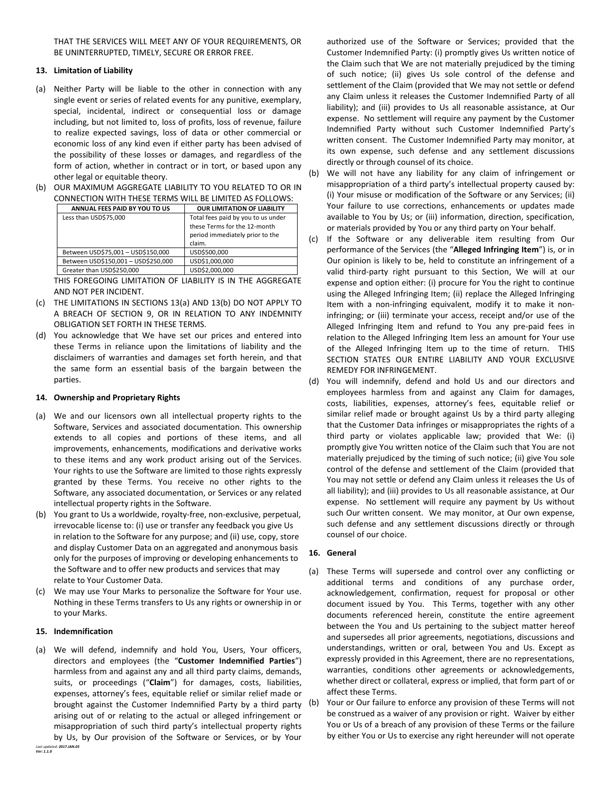THAT THE SERVICES WILL MEET ANY OF YOUR REQUIREMENTS, OR BE UNINTERRUPTED, TIMELY, SECURE OR ERROR FREE.

# **13. Limitation of Liability**

- <span id="page-3-0"></span>(a) Neither Party will be liable to the other in connection with any single event or series of related events for any punitive, exemplary, special, incidental, indirect or consequential loss or damage including, but not limited to, loss of profits, loss of revenue, failure to realize expected savings, loss of data or other commercial or economic loss of any kind even if either party has been advised of the possibility of these losses or damages, and regardless of the form of action, whether in contract or in tort, or based upon any other legal or equitable theory.
- <span id="page-3-1"></span>(b) OUR MAXIMUM AGGREGATE LIABILITY TO YOU RELATED TO OR IN CONNECTION WITH THESE TERMS WILL BE LIMITED AS FOLLOWS:

| ANNUAL FEES PAID BY YOU TO US       | <b>OUR LIMITATION OF LIABILITY</b>                                                                              |
|-------------------------------------|-----------------------------------------------------------------------------------------------------------------|
| Less than USD\$75,000               | Total fees paid by you to us under<br>these Terms for the 12-month<br>period immediately prior to the<br>claim. |
| Between USD\$75,001 - USD\$150,000  | USD\$500,000                                                                                                    |
| Between USD\$150,001 - USD\$250,000 | USD\$1,000,000                                                                                                  |
| Greater than USD\$250,000           | USD\$2,000,000                                                                                                  |

THIS FOREGOING LIMITATION OF LIABILITY IS IN THE AGGREGATE AND NOT PER INCIDENT.

- (c) THE LIMITATIONS IN SECTIONS [13\(a\)](#page-3-0) AND [13\(b\)](#page-3-1) DO NOT APPLY TO A BREACH OF SECTION [9,](#page-1-0) OR IN RELATION TO ANY INDEMNITY OBLIGATION SET FORTH IN THESE TERMS.
- (d) You acknowledge that We have set our prices and entered into these Terms in reliance upon the limitations of liability and the disclaimers of warranties and damages set forth herein, and that the same form an essential basis of the bargain between the parties.

## **14. Ownership and Proprietary Rights**

- (a) We and our licensors own all intellectual property rights to the Software, Services and associated documentation. This ownership extends to all copies and portions of these items, and all improvements, enhancements, modifications and derivative works to these items and any work product arising out of the Services. Your rights to use the Software are limited to those rights expressly granted by these Terms. You receive no other rights to the Software, any associated documentation, or Services or any related intellectual property rights in the Software.
- (b) You grant to Us a worldwide, royalty-free, non-exclusive, perpetual, irrevocable license to: (i) use or transfer any feedback you give Us in relation to the Software for any purpose; and (ii) use, copy, store and display Customer Data on an aggregated and anonymous basis only for the purposes of improving or developing enhancements to the Software and to offer new products and services that may relate to Your Customer Data.
- (c) We may use Your Marks to personalize the Software for Your use. Nothing in these Terms transfers to Us any rights or ownership in or to your Marks.

## **15. Indemnification**

*Last updated: 2017.JAN.05* (a) We will defend, indemnify and hold You, Users, Your officers, directors and employees (the "**Customer Indemnified Parties**") harmless from and against any and all third party claims, demands, suits, or proceedings ("**Claim**") for damages, costs, liabilities, expenses, attorney's fees, equitable relief or similar relief made or brought against the Customer Indemnified Party by a third party arising out of or relating to the actual or alleged infringement or misappropriation of such third party's intellectual property rights by Us, by Our provision of the Software or Services, or by Your

authorized use of the Software or Services; provided that the Customer Indemnified Party: (i) promptly gives Us written notice of the Claim such that We are not materially prejudiced by the timing of such notice; (ii) gives Us sole control of the defense and settlement of the Claim (provided that We may not settle or defend any Claim unless it releases the Customer Indemnified Party of all liability); and (iii) provides to Us all reasonable assistance, at Our expense. No settlement will require any payment by the Customer Indemnified Party without such Customer Indemnified Party's written consent. The Customer Indemnified Party may monitor, at its own expense, such defense and any settlement discussions directly or through counsel of its choice.

- (b) We will not have any liability for any claim of infringement or misappropriation of a third party's intellectual property caused by: (i) Your misuse or modification of the Software or any Services; (ii) Your failure to use corrections, enhancements or updates made available to You by Us; or (iii) information, direction, specification, or materials provided by You or any third party on Your behalf.
- (c) If the Software or any deliverable item resulting from Our performance of the Services (the "**Alleged Infringing Item**") is, or in Our opinion is likely to be, held to constitute an infringement of a valid third-party right pursuant to this Section, We will at our expense and option either: (i) procure for You the right to continue using the Alleged Infringing Item; (ii) replace the Alleged Infringing Item with a non-infringing equivalent, modify it to make it noninfringing; or (iii) terminate your access, receipt and/or use of the Alleged Infringing Item and refund to You any pre-paid fees in relation to the Alleged Infringing Item less an amount for Your use of the Alleged Infringing Item up to the time of return. THIS SECTION STATES OUR ENTIRE LIABILITY AND YOUR EXCLUSIVE REMEDY FOR INFRINGEMENT.
- (d) You will indemnify, defend and hold Us and our directors and employees harmless from and against any Claim for damages, costs, liabilities, expenses, attorney's fees, equitable relief or similar relief made or brought against Us by a third party alleging that the Customer Data infringes or misappropriates the rights of a third party or violates applicable law; provided that We: (i) promptly give You written notice of the Claim such that You are not materially prejudiced by the timing of such notice; (ii) give You sole control of the defense and settlement of the Claim (provided that You may not settle or defend any Claim unless it releases the Us of all liability); and (iii) provides to Us all reasonable assistance, at Our expense. No settlement will require any payment by Us without such Our written consent. We may monitor, at Our own expense, such defense and any settlement discussions directly or through counsel of our choice.

# **16. General**

- (a) These Terms will supersede and control over any conflicting or additional terms and conditions of any purchase order, acknowledgement, confirmation, request for proposal or other document issued by You. This Terms, together with any other documents referenced herein, constitute the entire agreement between the You and Us pertaining to the subject matter hereof and supersedes all prior agreements, negotiations, discussions and understandings, written or oral, between You and Us. Except as expressly provided in this Agreement, there are no representations, warranties, conditions other agreements or acknowledgements, whether direct or collateral, express or implied, that form part of or affect these Terms.
- (b) Your or Our failure to enforce any provision of these Terms will not be construed as a waiver of any provision or right. Waiver by either You or Us of a breach of any provision of these Terms or the failure by either You or Us to exercise any right hereunder will not operate